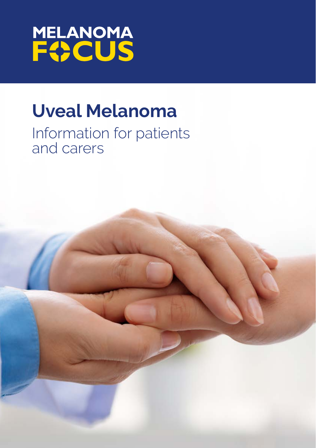

# **Uveal Melanoma**

# Information for patients and carers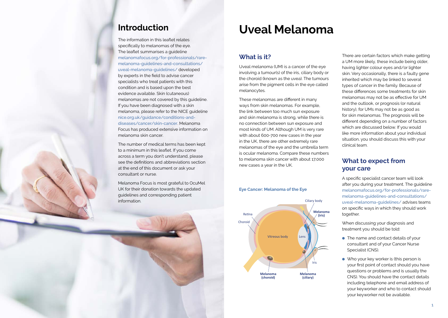# **Introduction**

The information in this leaflet relates specifically to melanomas of the eye. The leaflet summarises a guideline [melanomafocus.org/for-professionals/rare](https://melanomafocus.org/for-professionals/rare-melanoma-guidelines-and-consultations/uveal-melanoma-guidelines/)[melanoma-guidelines-and-consultations/](https://melanomafocus.org/for-professionals/rare-melanoma-guidelines-and-consultations/uveal-melanoma-guidelines/) [uveal-melanoma-guidelines/](https://melanomafocus.org/for-professionals/rare-melanoma-guidelines-and-consultations/uveal-melanoma-guidelines/) developed by experts in the field to advise cancer specialists who treat patients with this condition and is based upon the best evidence available. Skin (cutaneous) melanomas are not covered by this guideline. If you have been diagnosed with a skin melanoma, please refer to the NICE guideline [nice.org.uk/guidance/conditions-and](https://www.nice.org.uk/guidance/conditions-and-diseases/cancer/skin-cancer)[diseases/cancer/skin-cancer](https://www.nice.org.uk/guidance/conditions-and-diseases/cancer/skin-cancer). Melanoma Focus has produced extensive information on melanoma skin cancer.

The number of medical terms has been kept to a minimum in this leaflet. If you come across a term you don't understand, please see the definitions and abbreviations section at the end of this document or ask your consultant or nurse.

Melanoma Focus is most grateful to OcuMel UK for their donation towards the updated guidelines and corresponding patient information.

# **Uveal Melanoma**

# **What is it?**

Uveal melanoma (UM) is a cancer of the eye involving a tumour(s) of the iris, ciliary body or the choroid (known as the uvea). The tumours arise from the pigment cells in the eye called melanocytes.

These melanomas are different in many ways from skin melanomas. For example, the link between too much sun exposure and skin melanoma is strong, while there is no connection between sun exposure and most kinds of UM. Although UM is very rare with about 600-700 new cases in the year in the UK, there are other extremely rare melanomas of the eye and the umbrella term is ocular melanoma. Compare these numbers to melanoma skin cancer with about 17,000 new cases a year in the UK.

# **Eye Cancer: Melanoma of the Eye Eye Cancer: Melanoma of the Eye**



There are certain factors which make getting a UM more likely, these include being older, having lighter colour eyes and/or lighter skin. Very occasionally, there is a faulty gene inherited which may be linked to several types of cancer in the family. Because of these differences some treatments for skin melanomas may not be as effective for UM and the outlook, or prognosis (or natural history), for UMs may not be as good as for skin melanomas. The prognosis will be different depending on a number of factors which are discussed below. If you would like more information about your individual situation, you should discuss this with your clinical team.

# **What to expect from your care**

A specific specialist cancer team will look after you during your treatment. The guideline [melanomafocus.org/for-professionals/rare](https://melanomafocus.org/for-professionals/rare-melanoma-guidelines-and-consultations/uveal-melanoma-guidelines/)[melanoma-guidelines-and-consultations/](https://melanomafocus.org/for-professionals/rare-melanoma-guidelines-and-consultations/uveal-melanoma-guidelines/) [uveal-melanoma-guidelines/](https://melanomafocus.org/for-professionals/rare-melanoma-guidelines-and-consultations/uveal-melanoma-guidelines/) [a](https://melanomafocus.org/about-melanoma/types-of-melanoma/uveal-melanoma/)dvises teams on specific ways in which they should work together.

When discussing your diagnosis and treatment you should be told:

- The name and contact details of your consultant and of your Cancer Nurse Specialist (CNS).
- Who your key worker is (this person is your first point of contact should you have questions or problems and is usually the CNS). You should have the contact details including telephone and email address of your keyworker and who to contact should your keyworker not be available.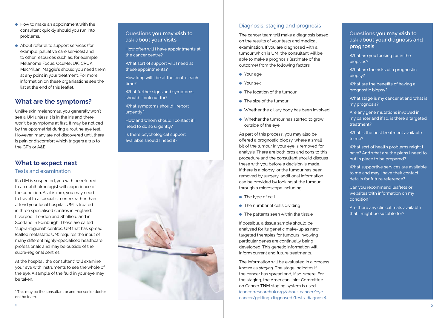- How to make an appointment with the consultant quickly should you run into problems.
- About referral to support services (for example, palliative care services) and to other resources such as, for example, Melanoma Focus, OcuMel UK, CRUK, MacMillan, Maggie's should you need them at any point in your treatment. For more information on these organisations see the list at the end of this leaflet.

# **What are the symptoms?**

Unlike skin melanomas, you generally won't see a UM unless it is in the iris and there won't be symptoms at first. It may be noticed by the optometrist during a routine eye test. However, many are not discovered until there is pain or discomfort which triggers a trip to the GP's or A&E.

# **What to expect next**

### Tests and examination

If a UM is suspected, you with be referred to an ophthalmologist with experience of the condition. As it is rare, you may need to travel to a specialist centre, rather than attend your local hospital. UM is treated in three specialised centres in England: Liverpool, London and Sheffield and in Scotland in Edinburgh. These are called "supra-regional" centres. UM that has spread (called metastatic UM) requires the input of many different highly-specialised healthcare professionals and may be outside of the supra-regional centres.

At the hospital, the consultant\* will examine your eye with instruments to see the whole of the eye. A sample of the fluid in your eye may be taken.

\* This may be the consultant or another senior doctor on the team.

### **Questions you may wish to ask about your visits**

How often will I have appointments at the cancer centre?

What sort of support will I need at these appointments?

How long will I be at the centre each time?

What further signs and symptoms should I look out for?

What symptoms should I report urgently?

How and whom should I contact if I need to do so urgently?

Is there psychological support available should I need it?



### Diagnosis, staging and prognosis

The cancer team will make a diagnosis based on the results of your tests and medical examination. If you are diagnosed with a tumour which is UM, the consultant will be able to make a prognosis (estimate of the outcome) from the following factors:

- Your age
- Your sex
- The location of the tumour
- The size of the tumour
- Whether the ciliary body has been involved
- Whether the tumour has started to grow outside of the eye

As part of this process, you may also be offered a prognostic biopsy, where a small bit of the tumour in your eye is removed for analysis. There are both pros and cons to this procedure and the consultant should discuss these with you before a decision is made. If there is a biopsy, or the tumour has been removed by surgery, additional information can be provided by looking at the tumour through a microscope including:

- The type of cell
- The number of cells dividing
- The patterns seen within the tissue

If possible, a tissue sample should be analysed for its genetic make-up as new targeted therapies for tumours involving particular genes are continually being developed. This genetic information will inform current and future treatments.

The information will be evaluated in a process known as *staging*. The stage indicates if the cancer has spread and, if so, where. For the staging, the American Joint Committee on Cancer TNM staging system is used [\(cancerresearchuk.org/about-cancer/eye](https://www.cancerresearchuk.org/about-cancer/eye-cancer/getting-diagnosed/tests-diagnose)[cancer/getting-diagnosed/tests-diagnose\)](https://www.cancerresearchuk.org/about-cancer/eye-cancer/getting-diagnosed/tests-diagnose).

**Questions you may wish to ask about your diagnosis and prognosis**

What are you looking for in the biopsies?

What are the risks of a prognostic biopsy?

What are the benefits of having a prognostic biopsy?

What stage is my cancer at and what is my prognosis?

Are any gene mutations involved in my cancer and if so, is there a targeted treatment?

What is the best treatment available to me?

What sort of health problems might I have? And what are the plans I need to put in place to be prepared?

What supportive services are available to me and may I have their contact details for future reference?

Can you recommend leaflets or websites with information on my condition?

Are there any clinical trials available that I might be suitable for?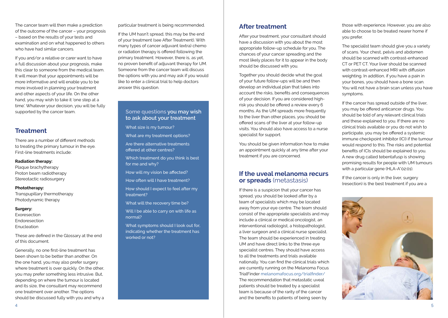The cancer team will then make a prediction of the outcome of the cancer – your prognosis – based on the results of your tests and examination and on what happened to others who have had similar cancers.

If you and/or a relative or carer want to have a full discussion about your prognosis, make this clear to someone from the medical team. It will mean that your appointments will be more informative and will enable you to be more involved in planning your treatment and other aspects of your life. On the other hand, you may wish to take it 'one step at a time'. Whatever your decision, you will be fully supported by the cancer team.

# **Treatment**

There are a number of different methods to treating the primary tumour in the eye. First-line treatments include:

### **Radiation therapy:**

Plaque brachytherapy Proton beam radiotherapy Stereotactic radiosurgery

#### **Phototherapy:**

Transpupillary thermotherapy Photodynamic therapy

#### **Surgery:**

Exoresection Endoresection Enucleation

These are defined in the Glossary at the end of this document.

Generally, no one first-line treatment has been shown to be better than another. On the one hand, you may also prefer surgery where treatment is over quickly. On the other, you may prefer something less intrusive. But, depending on where the tumour is located and its size, the consultant may recommend one treatment over another. The options should be discussed fully with you and why a particular treatment is being recommended.

If the UM hasn't spread, this may be the end of your treatment (see After Treatment). With many types of cancer adjuvant (extra) chemo or radiation therapy is offered following the primary treatment. However, there is, as yet, no proven benefit of adjuvant therapy for UM. Someone from the cancer team will discuss the options with you and may ask if you would like to enter a clinical trial to help doctors answer this question.

### **Some questions you may wish to ask about your treatment**

What size is my tumour?

- What are my treatment options?
- Are there alternative treatments offered at other centres?
- Which treatment do you think is best for me and why?
- How will my vision be affected?
- How often will I have treatment?

How should I expect to feel after my treatment?

What will the recovery time be?

Will I be able to carry on with life as normal?

What symptoms should I look out for. indicating whether the treatment has worked or not?

## **After treatment**

After your treatment, your consultant should have a discussion with you about the most appropriate follow-up schedule for you. The chances of your cancer spreading and the most likely places for it to appear in the body should be discussed with you.

Together you should decide what the goal of your future follow-ups will be and then develop an individual plan that takes into account the risks, benefits and consequences of your decision. If you are considered highrisk you should be offered a review every 6 months. As the UM spreads more frequently to the liver than other places, you should be offered scans of the liver at your follow-up visits. You should also have access to a nurse specialist for support.

You should be given information how to make an appointment quickly at any time after your treatment if you are concerned.

## **If the uveal melanoma recurs or spreads** (metastasis)

If there is a suspicion that your cancer has spread, you should be looked after by a team of specialists which may be located away from your eye centre. The team should consist of the appropriate specialists and may include a clinical or medical oncologist, an interventional radiologist, a histopathologist, a liver surgeon and a clinical nurse specialist. The team should be experienced in treating UM and have direct links to the three eye specialist centres. They should have access to all the treatments and trials available nationally. You can find the clinical trials which are currently running on the Melanoma Focus TrialFinder [melanomafocus.org/trialfinder/](https://melanomafocus.org/trialfinder/) The recommendation that metastatic uveal patients should be treated by a specialist team is because of the rarity of the cancer and the benefits to patients of being seen by

those with experience. However, you are also able to choose to be treated nearer home if you prefer.

The specialist team should give you a variety of scans. Your chest, pelvis and abdomen should be scanned with contrast-enhanced CT or PET CT. Your liver should be scanned with contrast-enhanced MRI with diffusion weighting. In addition, if you have a pain in your bones, you should have a bone scan. You will not have a brain scan unless you have symptoms.

If the cancer has spread outside of the liver, you may be offered anticancer drugs. You should be told of any relevant clinical trials and these explained to you. If there are no clinical trials available or you do not wish to participate, you may be offered a systemic immune checkpoint inhibitor (ICI) if the tumour would respond to this. The risks and potential benefits of ICIs should be explained to you. A new drug called tebentafusp is showing promising results for people with UM tumours with a particular gene (HLA-A\*02:01).

If the cancer is only in the liver, surgery (resection) is the best treatment if you are a

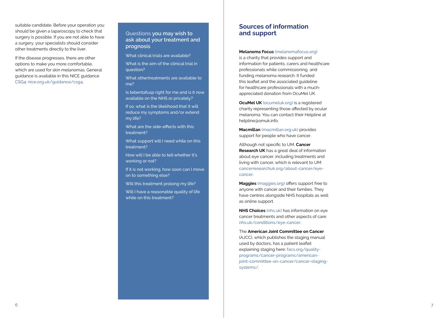suitable candidate. Before your operation you should be given a laparoscopy to check that surgery is possible. If you are not able to have a surgery, your specialists should consider other treatments directly to the liver.

If the disease progresses, there are other options to make you more comfortable, which are used for skin melanomas. General guidance is available in this NICE guidance CSG4: [nice.org.uk/guidance/csg4](https://www.nice.org.uk/guidance/csg4).

**Questions you may wish to ask about your treatment and prognosis**

What clinical trials are available?

What is the aim of the clinical trial in question?

What othertreatments are available to me?

Is tebentafusp right for me and is it now available on the NHS or privately?

If so, what is the likelihood that it will reduce my symptoms and/or extend my life?

What are the side-effects with this treatment?

What support will I need while on this treatment?

How will I be able to tell whether it's working or not?

If it is not working, how soon can I move on to something else?

Will this treatment prolong my life?

Will I have a reasonable quality of life while on this treatment?

## **Sources of information and support**

#### **Melanoma Focus** [\(melanomafocus.o](https://melanomafocus.org)rg)

is a charity that provides support and information for patients, carers and healthcare professionals while commissioning and funding melanoma research. It funded this leaflet and the associated guideline for healthcare professionals with a muchappreciated donation from OcuMel UK.

**OcuMel UK** ([ocumeluk.org\)](https://www.ocumeluk.org/) is a registered charity representing those affected by ocular melanoma. You can contact their Helpline at helpline@omuk.info.

**Macmillan** [\(macmillan.org.uk](https://www.macmillan.org.uk/)) provides support for people who have cancer.

Although not specific to UM, **Cancer Research UK** has a great deal of information about eye cancer, including treatments and living with cancer, which is relevant to UM: [cancerresearchuk.org/about-cancer/eye](https://www.cancerresearchuk.org/about-cancer/eye-cancer )[cancer](https://www.cancerresearchuk.org/about-cancer/eye-cancer ).

**Maggies** ([maggies.org](https://www.maggies.org/our-centres/) ) offers support free to anyone with cancer and their families. They have centres alongside NHS hospitals as well as online support.

**NHS Choices** ([nhs.uk](https://www.nhs.uk/pages/home.aspx) ) has information on eye cancer treatments and other aspects of care: [nhs.uk/conditions/eye-cancer](https://www.nhs.uk/conditions/eye-cancer/) .

The **American Joint Committee on Cancer** (AJCC), which publishes the staging manual used by doctors, has a patient leaflet explaining staging here: [facs.org/quality](https://facs.org/quality-programs/cancer-programs/american-joint-committee-on-cancer/cancer-staging-systems/)[programs/cancer-programs/american](https://facs.org/quality-programs/cancer-programs/american-joint-committee-on-cancer/cancer-staging-systems/)[joint-committee-on-cancer/cancer-staging](https://facs.org/quality-programs/cancer-programs/american-joint-committee-on-cancer/cancer-staging-systems/)[systems/](https://facs.org/quality-programs/cancer-programs/american-joint-committee-on-cancer/cancer-staging-systems/)[.](https://www.facs.org/quality-programs/cancer-programs/american-joint-committee-on-cancer/cancer-staging-systems/)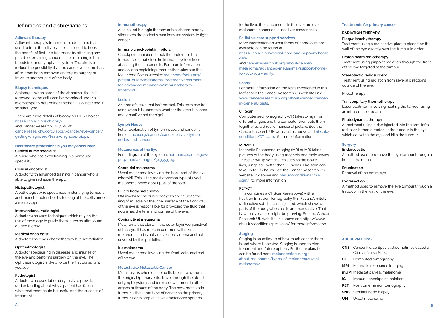### Definitions and abbreviations

#### **Adjuvant therapy**

Adjuvant therapy is treatment in addition to that used to treat the initial cancer. It is used to boost the benefit of first-line treatment by attacking any possible remaining cancer cells circulating in the bloodstream or lymphatic system. The aim is to reduce the possibility that the cancer will come back after it has been removed entirely by surgery or travel to another part of the body.

#### **Biopsy techniques**

A biopsy is when some of the abnormal tissue is removed so the cells can be examined under a microscope to determine whether it is cancer and if so what type.

There are more details of biopsy on NHS Choices: [nhs.uk/conditions/biopsy/](https://www.nhs.uk/conditions/biopsy/) and Cancer Research UK (CRUK): [cancerresearchuk.org/about-cancer/eye-cancer/](https://www.cancerresearchuk.org/about-cancer/eye-cancer/getting-diagnosed/tests-diagnose/biopsy) [getting-diagnosed/tests-diagnose/biops](https://www.cancerresearchuk.org/about-cancer/eye-cancer/getting-diagnosed/tests-diagnose/biopsy).

#### **Healthcare professionals you may encounter**

#### **Clinical nurse specialist**

A nurse who has extra training in a particular speciality.

#### **Clinical oncologist**

A doctor with advanced training in cancer who is able to give radiation therapy.

#### **Histopathologist**

A pathologist who specialises in identifying tumours and their characteristics by looking at the cells under a microscope.

#### **Interventional radiologist**

A doctor who uses techniques which rely on the use of radiology to guide them, such as ultrasoundguided biopsy.

#### **Medical oncologist**

A doctor who gives chemotherapy but not radiation.

#### **Ophthalmologist**

A doctor specialising in diseases and injuries of the eye and performs surgery on the eye. The Ophthalmologist is likely to be the first consultant you see.

#### **Pathologist**

A doctor who uses laboratory tests to provide understanding about why a patient has fallen ill, what treatment could be useful and the success of treatment.

#### **Immunotherapy**

Also called biologic therapy or bio-chemotherapy, stimulates the patient's own immune system to fight cancer.

#### **Immune checkpoint inhibitors**

Checkpoint inhibitors block the proteins in the tumour cells that stop the immune system from attacking the cancer cells. For more information and a video explaining immunotherapies see the Melanoma Focus website: [melanomafocus.org/](https://melanomafocus.org/patient-guide/melanoma-treatment/treatment-for-advanced-melanoma/immunotherapy-treatment/) [patient-guide/melanoma-treatment/treatment](https://melanomafocus.org/patient-guide/melanoma-treatment/treatment-for-advanced-melanoma/immunotherapy-treatment/)[for-advanced-melanoma/immunotherapy](https://melanomafocus.org/patient-guide/melanoma-treatment/treatment-for-advanced-melanoma/immunotherapy-treatment/)[treatment/](https://melanomafocus.org/patient-guide/melanoma-treatment/treatment-for-advanced-melanoma/immunotherapy-treatment/)[.](https://about-cancer.cancerresearchuk.org/about-cancer/cancer-in-general/treatment/immunotherapy/types/checkpoint-inhibitors)

#### **Lesion**

An area of tissue that isn't normal. This term can be used when it is uncertain whether the area is cancer (malignant) or not (benign).

#### **Lymph Nodes**

Fuller explanation of lymph nodes and cancer is here: [cancer.org/cancer/cancer-basics/lymph](https://www.cancer.org/cancer/cancer-basics/lymph-nodes-and-cancer.html)[nodes-and-cancer.](https://www.cancer.org/cancer/cancer-basics/lymph-nodes-and-cancer.html)

#### **Melanomas of the Eye**

For a diagram of the eye see: [nci-media.cancer.gov/](https://nci-media.cancer.gov/pdq/media/images/543553.jpg) [pdq/media/images/543553.jpg](https://nci-media.cancer.gov/pdq/media/images/543553.jpg).

#### **Choroidal melanoma**

Uveal melanoma involving the back part of the eye (choroid). This is the most common type of uveal melanoma being about 90% of the total.

#### **Ciliary body melanoma**

UM involving the ciliary body which includes the ring of muscle on the inner surface of the front wall of the eye is responsible for providing the fluid that nourishes the lens and cornea of the eye.

#### **Conjunctival melanoma**

Melanoma that starts in the outer layer (conjunctiva) of the eye. It has more in common with skin melanoma and is not an uveal melanoma and not covered by this guideline.

#### **Iris melanoma**

Uveal melanoma involving the front, coloured part of the eye.

#### **Metastasis/Metastatic Cancer**

Metastasis is when cancer cells break away from the original (primary) site, travel through the blood or lymph system, and form a new tumour in other organs or tissues of the body. The new, metastatic tumour is the same type of cancer as the primary tumour. For example, if uveal melanoma spreads

to the liver, the cancer cells in the liver are uveal melanoma cancer cells, not liver cancer cells.

#### **Palliative care support services**

More information on what forms of home care are available can be found at: [nhs.uk/conditions/social-care-and-support/home](https://www.nhs.uk/conditions/social-care-and-support/home-care/?tabname=whats-your-situation#types-)[care](https://www.nhs.uk/conditions/social-care-and-support/home-care/?tabname=whats-your-situation#types-)

and [cancerresearchuk.org/about-cancer/](http://www.cancerresearchuk.org/about-cancer/melanoma/advanced-melanoma/support-home-for-you-your-family ) [melanoma/advanced-melanoma/support-home](http://www.cancerresearchuk.org/about-cancer/melanoma/advanced-melanoma/support-home-for-you-your-family )[for-you-your-family](http://www.cancerresearchuk.org/about-cancer/melanoma/advanced-melanoma/support-home-for-you-your-family ).

#### **Scans**

For more information on the tests mentioned in this leaflet see the Cancer Research UK website link: [www.cancerresearchuk.org/about-cancer/cancer](https://www.cancerresearchuk.org/about-cancer/cancer-in-general/tests)[in-general/tests](https://www.cancerresearchuk.org/about-cancer/cancer-in-general/tests).

#### **CT Scan**

Computerised Tomography (CT) takes x-rays from different angles and the computer then puts them together as a three-dimensional picture. See the Cancer Research UK website link above and [nhs.uk/](https://www.nhs.uk/conditions/CT-scan/) [conditions/CT-scan/](https://www.nhs.uk/conditions/CT-scan/) for more information.

#### **MRI/MR**

Magnetic Resonance Imaging (MRI or MR) takes pictures of the body using magnets and radio waves. These show up soft tissues such as the bowel, liver, lungs etc. better than CT scans. The scan can take up to 1 ½ hours. See the Cancer Research UK website link above and [nhs.uk/conditions/mri](https://www.nhs.uk/conditions/mri-scan/)[scan/](https://www.nhs.uk/conditions/mri-scan/) for more information.

#### **PET-CT**

This combines a CT Scan (see above) with a Positron Emission Tomography (PET) scan. A mildly radioactive substance is injected, which shows up parts of the body where cells are more active. That is, where a cancer might be growing. See the Cancer Research UK website link above and https://www. nhs.uk/conditions/pet-scan/ for more information.

#### **Staging**

Staging is an estimate of how much cancer there is and where is located. Staging is used to plan treatment and future options. Further explanation can be found here: [melanomafocus.org/](https://melanomafocus.org/about-melanoma/types-of-melanoma/uveal-melanoma/) [about-melanoma/types-of-melanoma/uveal](https://melanomafocus.org/about-melanoma/types-of-melanoma/uveal-melanoma/)[melanoma/](https://melanomafocus.org/about-melanoma/types-of-melanoma/uveal-melanoma/)[.](https://www.facs.org/quality-programs/cancer/ajcc/cancer-staging )

#### **Treatments for primary cancer**

#### **RADIATION THERAPY**

#### **Plaque brachytherapy**

Treatment using a radioactive plaque placed on the wall of the eye directly over the tumour in order.

#### **Proton beam radiotherapy**

Treatment using pinpoint radiation through the front of the eye targeted at the tumour.

#### **Stereotactic radiosurgery**

Treatment using radiation from several directions outside of the eye.

Phototherapy

#### **Transpupillary thermotherapy**

Laser treatment involving heating the tumour using an infrared laser beam.

#### **Photodynamic therapy**

A treatment using a dye injected into the arm. Infrared laser is then directed at the tumour in the eye, which activates the dye and kills the tumour.

#### **Surgery**

#### **Endoresection**

A method used to remove the eye tumour through a hole in the retina.

### **Enucleation**

Removal of the entire eye.

#### **Exoresection**

A method used to remove the eye tumour through a trapdoor in the wall of the eye.

#### **ABBREVIATIONS**

- **CNS** Cancer Nurse Specialist sometimes called a Clinical Nurse Specialist
- **CT** Computed tomography
- **MRI** Magnetic resonance imaging
- **mUM** Metastatic uveal melanoma
- **ICI** Immune checkpoint inhibitors
- **PET** Positron emission tomography
- **SNB** Sentinel node biopsy
- **UM** Uveal melanoma